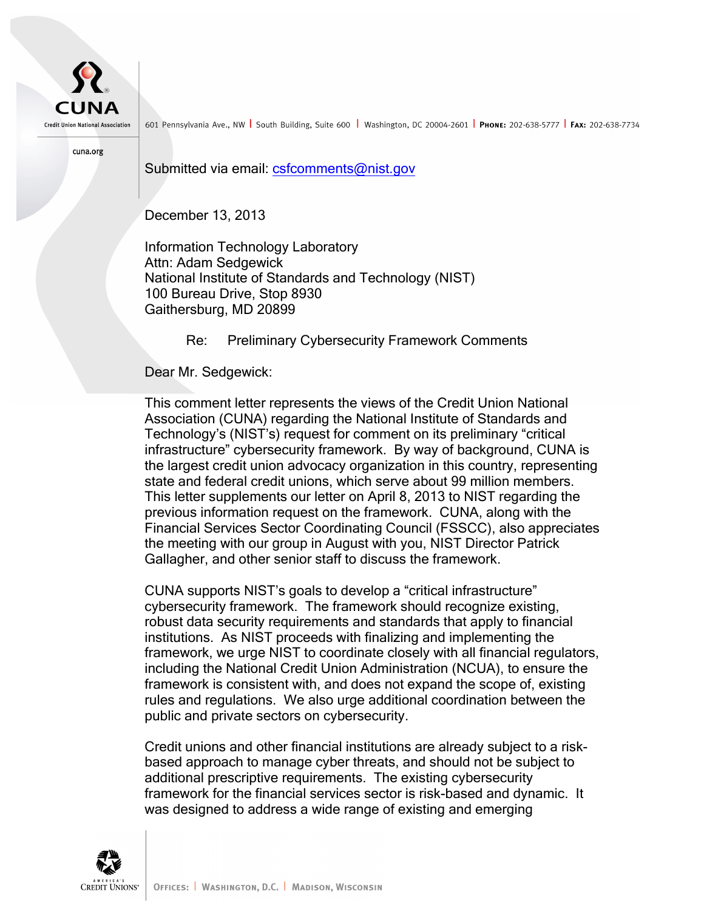

601 Pennsylvania Ave., NW South Building, Suite 600 Washington, DC 20004-2601 PHONE: 202-638-5777 FAX: 202-638-7734

cuna.org

Submitted via email: csfcomments@nist.gov

December 13, 2013

December 13, 2013<br>Information Technology Laboratory National Institute of Standards and Technology (NIST) 100 Bureau Drive, Stop 8930 Gaithersburg, MD 20899 Attn: Adam Sedgewick

Re: Preliminary Cybersecurity Framework Comments

Dear Mr. Sedgewick:

 This comment letter represents the views of the Credit Union National Association (CUNA) regarding the National Institute of Standards and Technology's (NIST's) request for comment on its preliminary "critical the largest credit union advocacy organization in this country, representing state and federal credit unions, which serve about 99 million members. This letter supplements our letter on April 8, 2013 to NIST regarding the previous information request on the framework. CUNA, along with the the meeting with our group in August with you, NIST Director Patrick Gallagher, and other senior staff to discuss the framework. infrastructure" cybersecurity framework. By way of background, CUNA is Financial Services Sector Coordinating Council (FSSCC), also appreciates

 CUNA supports NIST's goals to develop a "critical infrastructure" cybersecurity framework. The framework should recognize existing, robust data security requirements and standards that apply to financial institutions. As NIST proceeds with finalizing and implementing the framework, we urge NIST to coordinate closely with all financial regulators, including the National Credit Union Administration (NCUA), to ensure the framework is consistent with, and does not expand the scope of, existing rules and regulations. We also urge additional coordination between the public and private sectors on cybersecurity.

 Credit unions and other financial institutions are already subject to a risk- based approach to manage cyber threats, and should not be subject to additional prescriptive requirements. The existing cybersecurity framework for the financial services sector is risk-based and dynamic. It was designed to address a wide range of existing and emerging

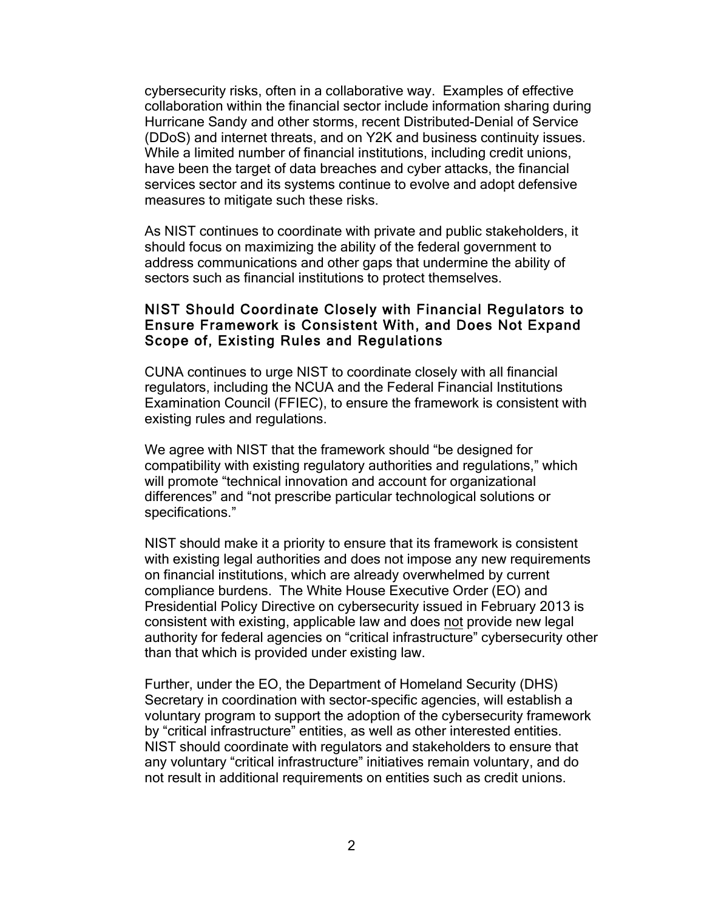cybersecurity risks, often in a collaborative way. Examples of effective collaboration within the financial sector include information sharing during Hurricane Sandy and other storms, recent Distributed-Denial of Service (DDoS) and internet threats, and on Y2K and business continuity issues. While a limited number of financial institutions, including credit unions, have been the target of data breaches and cyber attacks, the financial services sector and its systems continue to evolve and adopt defensive measures to mitigate such these risks.

 As NIST continues to coordinate with private and public stakeholders, it should focus on maximizing the ability of the federal government to address communications and other gaps that undermine the ability of sectors such as financial institutions to protect themselves.

## NIST Should Coordinate Closely with Financial Regulators to Ensure Framework is Consistent With, and Does Not Expand Scope of, Existing Rules and Regulations

 CUNA continues to urge NIST to coordinate closely with all financial regulators, including the NCUA and the Federal Financial Institutions Examination Council (FFIEC), to ensure the framework is consistent with existing rules and regulations.

 We agree with NIST that the framework should "be designed for compatibility with existing regulatory authorities and regulations," which will promote "technical innovation and account for organizational differences" and "not prescribe particular technological solutions or specifications."

specifications."<br>NIST should make it a priority to ensure that its framework is consistent with existing legal authorities and does not impose any new requirements on financial institutions, which are already overwhelmed by current compliance burdens. The White House Executive Order (EO) and Presidential Policy Directive on cybersecurity issued in February 2013 is consistent with existing, applicable law and does not provide new legal than that which is provided under existing law. authority for federal agencies on "critical infrastructure" cybersecurity other

 Further, under the EO, the Department of Homeland Security (DHS) Secretary in coordination with sector-specific agencies, will establish a voluntary program to support the adoption of the cybersecurity framework by "critical infrastructure" entities, as well as other interested entities. NIST should coordinate with regulators and stakeholders to ensure that any voluntary "critical infrastructure" initiatives remain voluntary, and do not result in additional requirements on entities such as credit unions.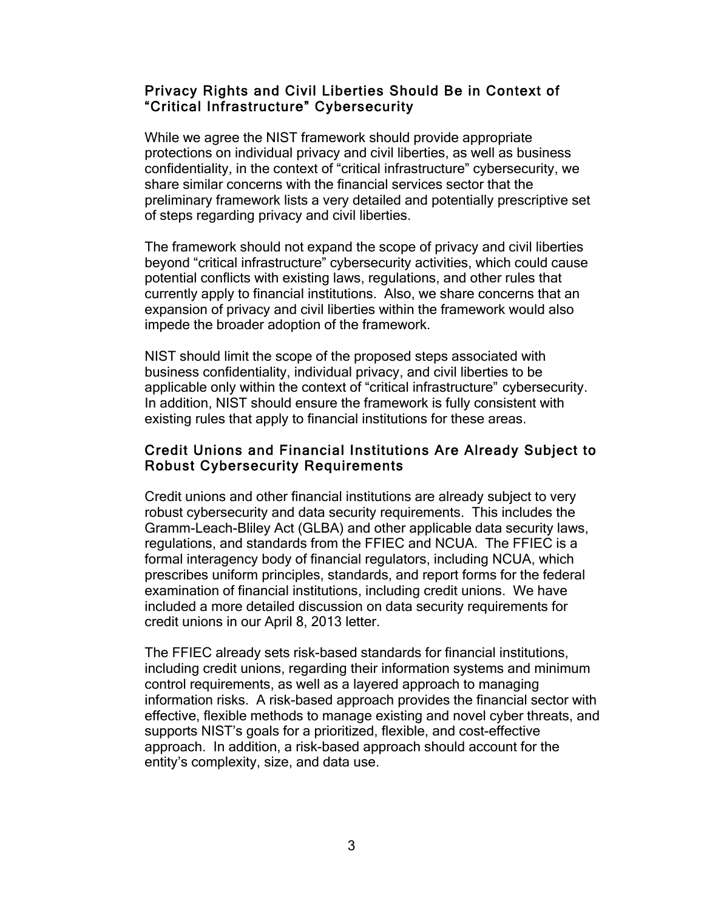## Privacy Rights and Civil Liberties Should Be in Context of "Critical Infrastructure" Cybersecurity

 While we agree the NIST framework should provide appropriate confidentiality, in the context of "critical infrastructure" cybersecurity, we share similar concerns with the financial services sector that the preliminary framework lists a very detailed and potentially prescriptive set protections on individual privacy and civil liberties, as well as business of steps regarding privacy and civil liberties.

 The framework should not expand the scope of privacy and civil liberties beyond "critical infrastructure" cybersecurity activities, which could cause potential conflicts with existing laws, regulations, and other rules that currently apply to financial institutions. Also, we share concerns that an expansion of privacy and civil liberties within the framework would also impede the broader adoption of the framework.

 NIST should limit the scope of the proposed steps associated with business confidentiality, individual privacy, and civil liberties to be applicable only within the context of "critical infrastructure" cybersecurity. In addition, NIST should ensure the framework is fully consistent with existing rules that apply to financial institutions for these areas.

## Credit Unions and Financial Institutions Are Already Subject to **Robust Cybersecurity Requirements**

 Credit unions and other financial institutions are already subject to very robust cybersecurity and data security requirements. This includes the Gramm-Leach-Bliley Act (GLBA) and other applicable data security laws, regulations, and standards from the FFIEC and NCUA. The FFIEC is a formal interagency body of financial regulators, including NCUA, which prescribes uniform principles, standards, and report forms for the federal examination of financial institutions, including credit unions. We have included a more detailed discussion on data security requirements for credit unions in our April 8, 2013 letter.

 The FFIEC already sets risk-based standards for financial institutions, including credit unions, regarding their information systems and minimum control requirements, as well as a layered approach to managing information risks. A risk-based approach provides the financial sector with effective, flexible methods to manage existing and novel cyber threats, and supports NIST's goals for a prioritized, flexible, and cost-effective approach. In addition, a risk-based approach should account for the entity's complexity, size, and data use.